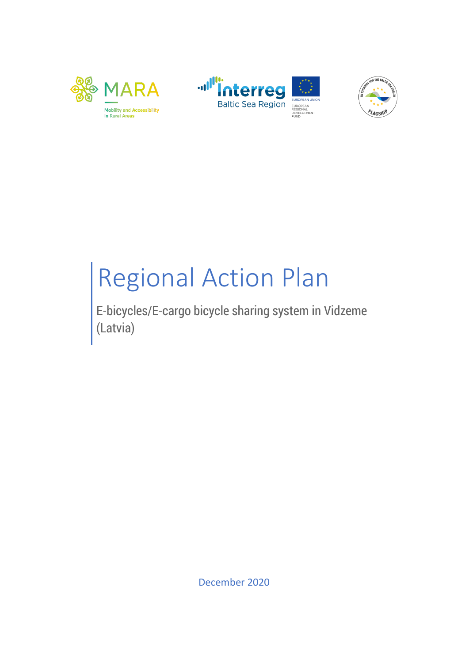





# Regional Action Plan

E-bicycles/E-cargo bicycle sharing system in Vidzeme (Latvia)

December 2020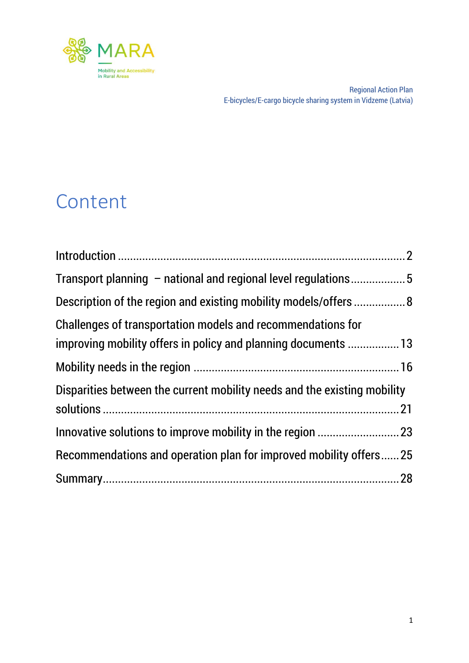

### Content

| Description of the region and existing mobility models/offers  8         |  |
|--------------------------------------------------------------------------|--|
| Challenges of transportation models and recommendations for              |  |
| improving mobility offers in policy and planning documents  13           |  |
|                                                                          |  |
| Disparities between the current mobility needs and the existing mobility |  |
|                                                                          |  |
|                                                                          |  |
| Recommendations and operation plan for improved mobility offers25        |  |
|                                                                          |  |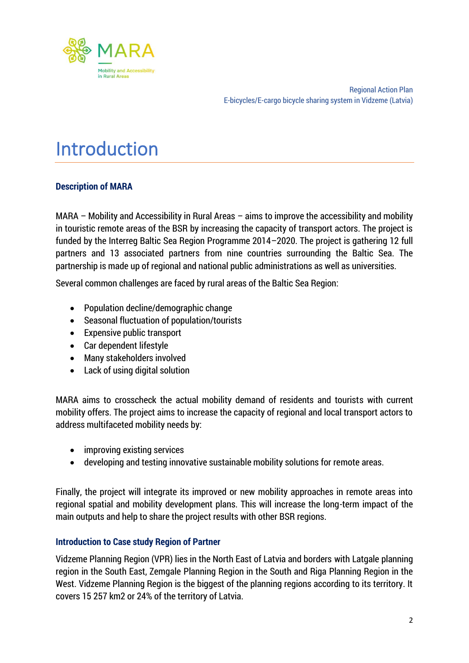

### <span id="page-2-0"></span>Introduction

#### **Description of MARA**

MARA – Mobility and Accessibility in Rural Areas – aims to improve the accessibility and mobility in touristic remote areas of the BSR by increasing the capacity of transport actors. The project is funded by the Interreg Baltic Sea Region Programme 2014–2020. The project is gathering 12 full partners and 13 associated partners from nine countries surrounding the Baltic Sea. The partnership is made up of regional and national public administrations as well as universities.

Several common challenges are faced by rural areas of the Baltic Sea Region:

- Population decline/demographic change
- Seasonal fluctuation of population/tourists
- Expensive public transport
- Car dependent lifestyle
- Many stakeholders involved
- Lack of using digital solution

MARA aims to crosscheck the actual mobility demand of residents and tourists with current mobility offers. The project aims to increase the capacity of regional and local transport actors to address multifaceted mobility needs by:

- improving existing services
- developing and testing innovative sustainable mobility solutions for remote areas.

Finally, the project will integrate its improved or new mobility approaches in remote areas into regional spatial and mobility development plans. This will increase the long-term impact of the main outputs and help to share the project results with other BSR regions.

#### **Introduction to Case study Region of Partner**

Vidzeme Planning Region (VPR) lies in the North East of Latvia and borders with Latgale planning region in the South East, Zemgale Planning Region in the South and Riga Planning Region in the West. Vidzeme Planning Region is the biggest of the planning regions according to its territory. It covers 15 257 km2 or 24% of the territory of Latvia.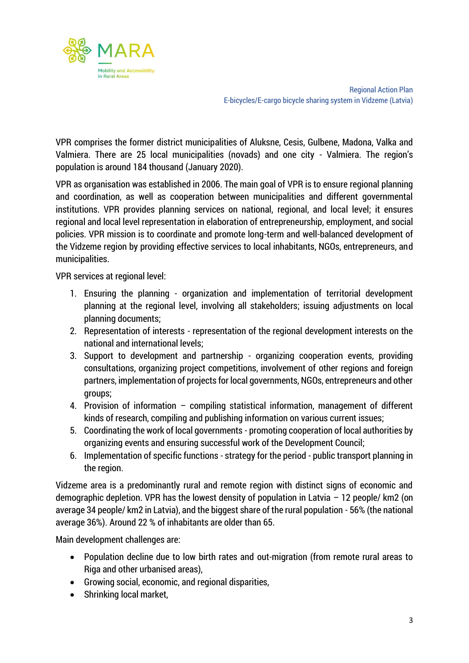

VPR comprises the former district municipalities of Aluksne, Cesis, Gulbene, Madona, Valka and Valmiera. There are 25 local municipalities (novads) and one city - Valmiera. The region's population is around 184 thousand (January 2020).

VPR as organisation was established in 2006. The main goal of VPR is to ensure regional planning and coordination, as well as cooperation between municipalities and different governmental institutions. VPR provides planning services on national, regional, and local level; it ensures regional and local level representation in elaboration of entrepreneurship, employment, and social policies. VPR mission is to coordinate and promote long-term and well-balanced development of the Vidzeme region by providing effective services to local inhabitants, NGOs, entrepreneurs, and municipalities.

VPR services at regional level:

- 1. Ensuring the planning organization and implementation of territorial development planning at the regional level, involving all stakeholders; issuing adjustments on local planning documents;
- 2. Representation of interests representation of the regional development interests on the national and international levels;
- 3. Support to development and partnership organizing cooperation events, providing consultations, organizing project competitions, involvement of other regions and foreign partners, implementation of projects for local governments, NGOs, entrepreneurs and other groups;
- 4. Provision of information compiling statistical information, management of different kinds of research, compiling and publishing information on various current issues;
- 5. Coordinating the work of local governments promoting cooperation of local authorities by organizing events and ensuring successful work of the Development Council;
- 6. Implementation of specific functions strategy for the period public transport planning in the region.

Vidzeme area is a predominantly rural and remote region with distinct signs of economic and demographic depletion. VPR has the lowest density of population in Latvia – 12 people/ km2 (on average 34 people/ km2 in Latvia), and the biggest share of the rural population - 56% (the national average 36%). Around 22 % of inhabitants are older than 65.

Main development challenges are:

- Population decline due to low birth rates and out-migration (from remote rural areas to Riga and other urbanised areas),
- Growing social, economic, and regional disparities,
- Shrinking local market.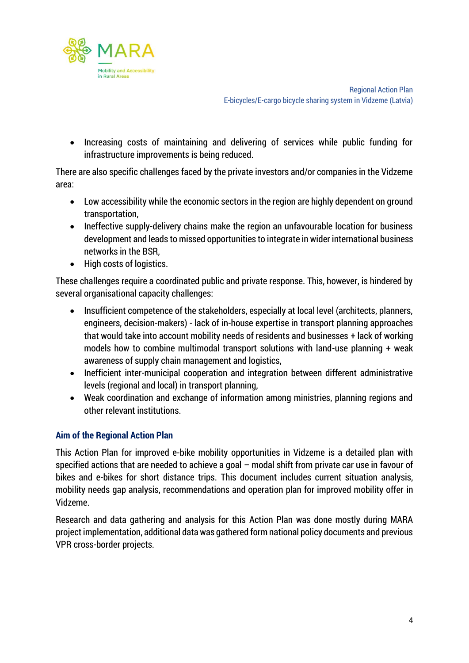

• Increasing costs of maintaining and delivering of services while public funding for infrastructure improvements is being reduced.

There are also specific challenges faced by the private investors and/or companies in the Vidzeme area:

- Low accessibility while the economic sectors in the region are highly dependent on ground transportation,
- Ineffective supply-delivery chains make the region an unfavourable location for business development and leads to missed opportunities to integrate in wider international business networks in the BSR,
- High costs of logistics.

These challenges require a coordinated public and private response. This, however, is hindered by several organisational capacity challenges:

- Insufficient competence of the stakeholders, especially at local level (architects, planners, engineers, decision-makers) - lack of in-house expertise in transport planning approaches that would take into account mobility needs of residents and businesses + lack of working models how to combine multimodal transport solutions with land-use planning + weak awareness of supply chain management and logistics,
- Inefficient inter-municipal cooperation and integration between different administrative levels (regional and local) in transport planning,
- Weak coordination and exchange of information among ministries, planning regions and other relevant institutions.

#### **Aim of the Regional Action Plan**

This Action Plan for improved e-bike mobility opportunities in Vidzeme is a detailed plan with specified actions that are needed to achieve a goal – modal shift from private car use in favour of bikes and e-bikes for short distance trips. This document includes current situation analysis, mobility needs gap analysis, recommendations and operation plan for improved mobility offer in Vidzeme.

Research and data gathering and analysis for this Action Plan was done mostly during MARA project implementation, additional data was gathered form national policy documents and previous VPR cross-border projects.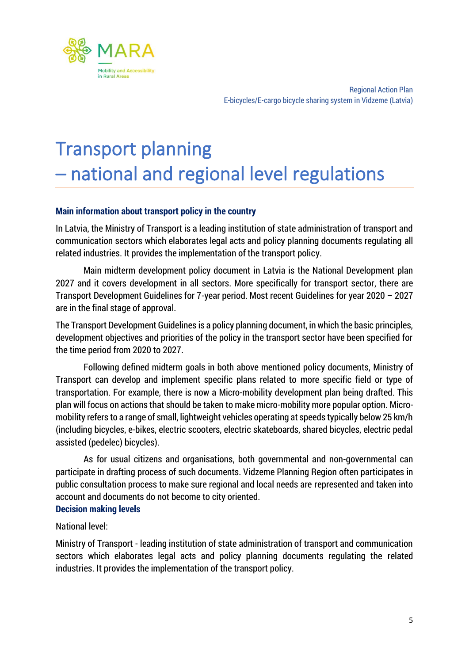

### <span id="page-5-0"></span>Transport planning – national and regional level regulations

#### **Main information about transport policy in the country**

In Latvia, the Ministry of Transport is a leading institution of state administration of transport and communication sectors which elaborates legal acts and policy planning documents regulating all related industries. It provides the implementation of the transport policy.

Main midterm development policy document in Latvia is the National Development plan 2027 and it covers development in all sectors. More specifically for transport sector, there are Transport Development Guidelines for 7-year period. Most recent Guidelines for year 2020 – 2027 are in the final stage of approval.

The Transport Development Guidelines is a policy planning document, in which the basic principles, development objectives and priorities of the policy in the transport sector have been specified for the time period from 2020 to 2027.

Following defined midterm goals in both above mentioned policy documents, Ministry of Transport can develop and implement specific plans related to more specific field or type of transportation. For example, there is now a Micro-mobility development plan being drafted. This plan will focus on actions that should be taken to make micro-mobility more popular option. Micromobility refers to a range of small, lightweight vehicles operating at speeds typically below 25 km/h (including bicycles, e-bikes, electric scooters, electric skateboards, shared bicycles, electric pedal assisted (pedelec) bicycles).

As for usual citizens and organisations, both governmental and non-governmental can participate in drafting process of such documents. Vidzeme Planning Region often participates in public consultation process to make sure regional and local needs are represented and taken into account and documents do not become to city oriented.

#### **Decision making levels**

#### National level:

Ministry of Transport - leading institution of state administration of transport and communication sectors which elaborates legal acts and policy planning documents regulating the related industries. It provides the implementation of the transport policy.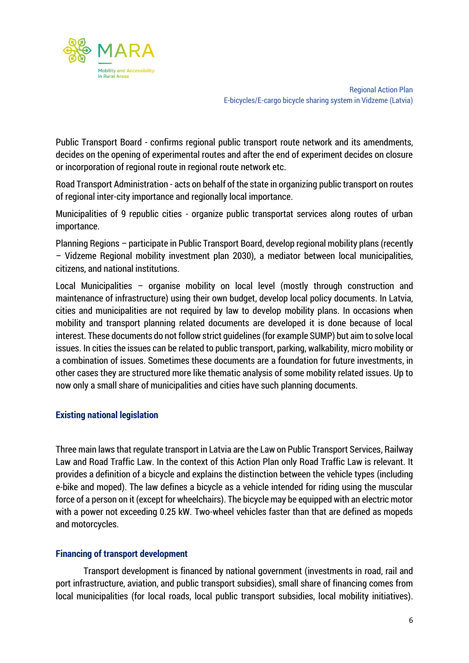

Public Transport Board - confirms regional public transport route network and its amendments, decides on the opening of experimental routes and after the end of experiment decides on closure or incorporation of regional route in regional route network etc.

Road Transport Administration - acts on behalf of the state in organizing public transport on routes of regional inter-city importance and regionally local importance.

Municipalities of 9 republic cities - organize public transportat services along routes of urban importance.

Planning Regions – participate in Public Transport Board, develop regional mobility plans (recently – Vidzeme Regional mobility investment plan 2030), a mediator between local municipalities, citizens, and national institutions.

Local Municipalities – organise mobility on local level (mostly through construction and maintenance of infrastructure) using their own budget, develop local policy documents. In Latvia, cities and municipalities are not required by law to develop mobility plans. In occasions when mobility and transport planning related documents are developed it is done because of local interest. These documents do not follow strict guidelines (for example SUMP) but aim to solve local issues. In cities the issues can be related to public transport, parking, walkability, micro mobility or a combination of issues. Sometimes these documents are a foundation for future investments, in other cases they are structured more like thematic analysis of some mobility related issues. Up to now only a small share of municipalities and cities have such planning documents.

#### **Existing national legislation**

Three main laws that regulate transport in Latvia are the Law on Public Transport Services, Railway Law and Road Traffic Law. In the context of this Action Plan only Road Traffic Law is relevant. It provides a definition of a bicycle and explains the distinction between the vehicle types (including e-bike and moped). The law defines a bicycle as a vehicle intended for riding using the muscular force of a person on it (except for wheelchairs). The bicycle may be equipped with an electric motor with a power not exceeding 0.25 kW. Two-wheel vehicles faster than that are defined as mopeds and motorcycles.

#### **Financing of transport development**

Transport development is financed by national government (investments in road, rail and port infrastructure, aviation, and public transport subsidies), small share of financing comes from local municipalities (for local roads, local public transport subsidies, local mobility initiatives).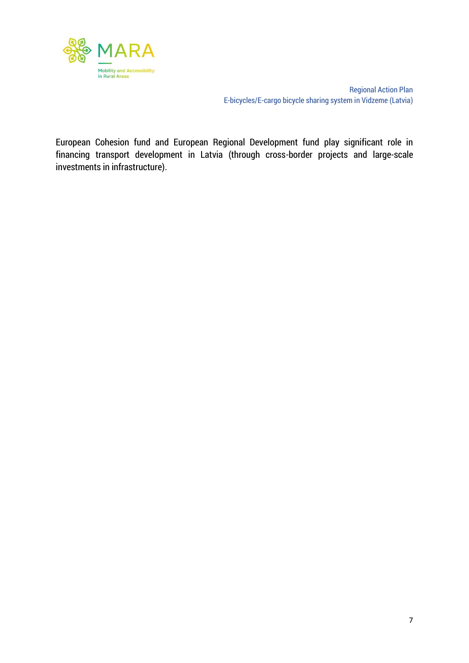

European Cohesion fund and European Regional Development fund play significant role in financing transport development in Latvia (through cross-border projects and large-scale investments in infrastructure).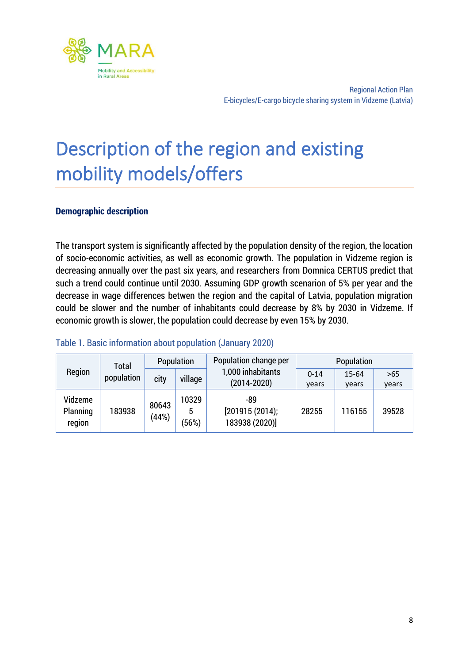

### <span id="page-8-0"></span>Description of the region and existing mobility models/offers

#### **Demographic description**

The transport system is significantly affected by the population density of the region, the location of socio-economic activities, as well as economic growth. The population in Vidzeme region is decreasing annually over the past six years, and researchers from Domnica CERTUS predict that such a trend could continue until 2030. Assuming GDP growth scenarion of 5% per year and the decrease in wage differences betwen the region and the capital of Latvia, population migration could be slower and the number of inhabitants could decrease by 8% by 2030 in Vidzeme. If economic growth is slower, the population could decrease by even 15% by 2030.

#### Table 1. Basic information about population (January 2020)

|                               | <b>Total</b> |                | Population          | Population change per                   | Population        |                    |                |  |  |
|-------------------------------|--------------|----------------|---------------------|-----------------------------------------|-------------------|--------------------|----------------|--|--|
| Region                        | population   | city           | village             | 1,000 inhabitants<br>$(2014 - 2020)$    | $0 - 14$<br>years | $15 - 64$<br>vears | $>65$<br>years |  |  |
| Vidzeme<br>Planning<br>region | 183938       | 80643<br>(44%) | 10329<br>5<br>(56%) | -89<br>[201915(2014);<br>183938 (2020)] | 28255             | 116155             | 39528          |  |  |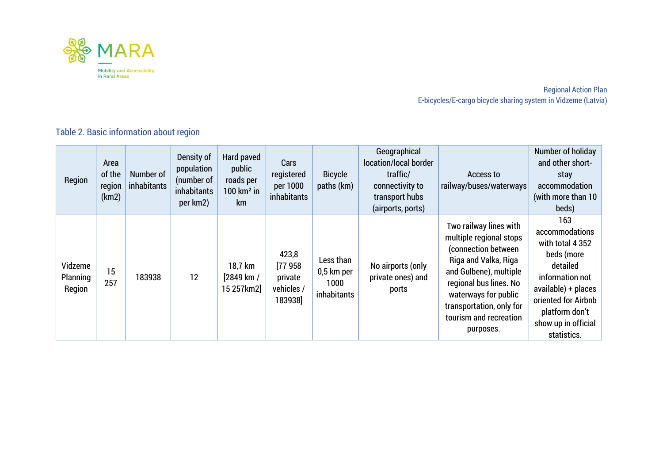

Table 2. Basic information about region

| Region                        | Area<br>of the<br>region<br>(km2) | Number of<br>inhabitants | Density of<br>population<br>(number of<br>inhabitants<br>per km2) | Hard paved<br>public<br>roads per<br>$100 \mathrm{km}^2$ in<br>km | Cars<br>registered<br>per 1000<br>inhabitants       | <b>Bicycle</b><br>paths (km)                   | Geographical<br>location/local border<br>traffic/<br>connectivity to<br>transport hubs<br>(airports, ports) | Access to<br>railway/buses/waterways                                                                                                                                                                                                            | Number of holiday<br>and other short-<br>stay<br>accommodation<br>(with more than 10<br>beds)                                                                                                |
|-------------------------------|-----------------------------------|--------------------------|-------------------------------------------------------------------|-------------------------------------------------------------------|-----------------------------------------------------|------------------------------------------------|-------------------------------------------------------------------------------------------------------------|-------------------------------------------------------------------------------------------------------------------------------------------------------------------------------------------------------------------------------------------------|----------------------------------------------------------------------------------------------------------------------------------------------------------------------------------------------|
| Vidzeme<br>Planning<br>Region | 15<br>257                         | 183938                   | 12                                                                | 18,7 km<br>[2849 km /<br>15 257 km2                               | 423,8<br>[77958]<br>private<br>vehicles /<br>183938 | Less than<br>0,5 km per<br>1000<br>inhabitants | No airports (only<br>private ones) and<br>ports                                                             | Two railway lines with<br>multiple regional stops<br>(connection between<br>Riga and Valka, Riga<br>and Gulbene), multiple<br>regional bus lines. No<br>waterways for public<br>transportation, only for<br>tourism and recreation<br>purposes. | 163<br>accommodations<br>with total 4 352<br>beds (more<br>detailed<br>information not<br>available) + places<br>oriented for Airbnb<br>platform don't<br>show up in official<br>statistics. |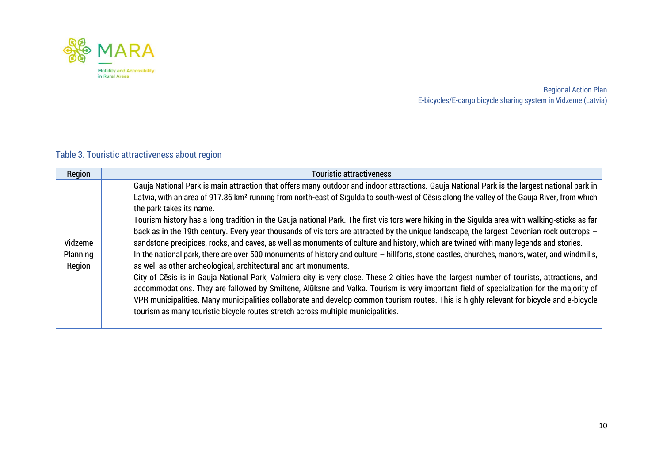

### Table 3. Touristic attractiveness about region

| Region                        | <b>Touristic attractiveness</b>                                                                                                                                                                                                                                                                                                                                                                                                                                                                                                                                                                                                                                                                                                                                                                                                                                                                                                                                                                                                                                                                                                                                                                                                                                                                                                                                                                                                                                                                                          |
|-------------------------------|--------------------------------------------------------------------------------------------------------------------------------------------------------------------------------------------------------------------------------------------------------------------------------------------------------------------------------------------------------------------------------------------------------------------------------------------------------------------------------------------------------------------------------------------------------------------------------------------------------------------------------------------------------------------------------------------------------------------------------------------------------------------------------------------------------------------------------------------------------------------------------------------------------------------------------------------------------------------------------------------------------------------------------------------------------------------------------------------------------------------------------------------------------------------------------------------------------------------------------------------------------------------------------------------------------------------------------------------------------------------------------------------------------------------------------------------------------------------------------------------------------------------------|
| Vidzeme<br>Planning<br>Region | Gauja National Park is main attraction that offers many outdoor and indoor attractions. Gauja National Park is the largest national park in<br>Latvia, with an area of 917.86 km <sup>2</sup> running from north-east of Sigulda to south-west of Cesis along the valley of the Gauja River, from which<br>the park takes its name.<br>Tourism history has a long tradition in the Gauja national Park. The first visitors were hiking in the Sigulda area with walking-sticks as far<br>back as in the 19th century. Every year thousands of visitors are attracted by the unique landscape, the largest Devonian rock outcrops -<br>sandstone precipices, rocks, and caves, as well as monuments of culture and history, which are twined with many legends and stories.<br>In the national park, there are over 500 monuments of history and culture - hillforts, stone castles, churches, manors, water, and windmills,<br>as well as other archeological, architectural and art monuments.<br>City of Cesis is in Gauja National Park, Valmiera city is very close. These 2 cities have the largest number of tourists, attractions, and<br>accommodations. They are fallowed by Smiltene, Alūksne and Valka. Tourism is very important field of specialization for the majority of<br>VPR municipalities. Many municipalities collaborate and develop common tourism routes. This is highly relevant for bicycle and e-bicycle<br>tourism as many touristic bicycle routes stretch across multiple municipalities. |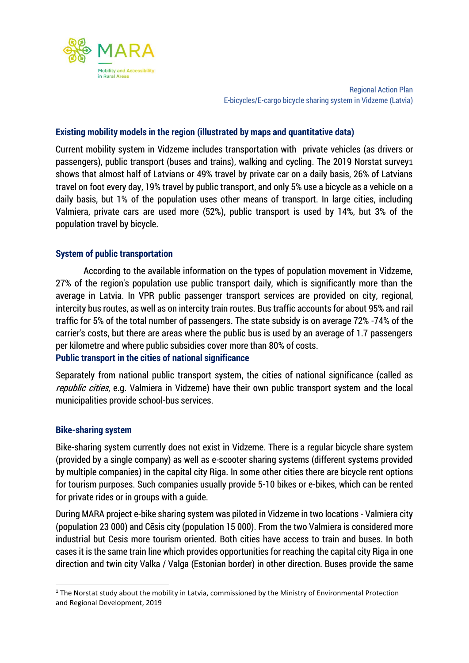

#### **Existing mobility models in the region (illustrated by maps and quantitative data)**

Current mobility system in Vidzeme includes transportation with private vehicles (as drivers or passengers), public transport (buses and trains), walking and cycling. The 2019 Norstat survey1 shows that almost half of Latvians or 49% travel by private car on a daily basis, 26% of Latvians travel on foot every day, 19% travel by public transport, and only 5% use a bicycle as a vehicle on a daily basis, but 1% of the population uses other means of transport. In large cities, including Valmiera, private cars are used more (52%), public transport is used by 14%, but 3% of the population travel by bicycle.

#### **System of public transportation**

According to the available information on the types of population movement in Vidzeme, 27% of the region's population use public transport daily, which is significantly more than the average in Latvia. In VPR public passenger transport services are provided on city, regional, intercity bus routes, as well as on intercity train routes. Bus traffic accounts for about 95% and rail traffic for 5% of the total number of passengers. The state subsidy is on average 72% -74% of the carrier's costs, but there are areas where the public bus is used by an average of 1.7 passengers per kilometre and where public subsidies cover more than 80% of costs.

#### **Public transport in the cities of national significance**

Separately from national public transport system, the cities of national significance (called as republic cities, e.g. Valmiera in Vidzeme) have their own public transport system and the local municipalities provide school-bus services.

#### **Bike-sharing system**

Bike-sharing system currently does not exist in Vidzeme. There is a regular bicycle share system (provided by a single company) as well as e-scooter sharing systems (different systems provided by multiple companies) in the capital city Riga. In some other cities there are bicycle rent options for tourism purposes. Such companies usually provide 5-10 bikes or e-bikes, which can be rented for private rides or in groups with a guide.

During MARA project e-bike sharing system was piloted in Vidzeme in two locations - Valmiera city (population 23 000) and Cēsis city (population 15 000). From the two Valmiera is considered more industrial but Cesis more tourism oriented. Both cities have access to train and buses. In both cases it is the same train line which provides opportunities for reaching the capital city Riga in one direction and twin city Valka / Valga (Estonian border) in other direction. Buses provide the same

 $1$  The Norstat study about the mobility in Latvia, commissioned by the Ministry of Environmental Protection and Regional Development, 2019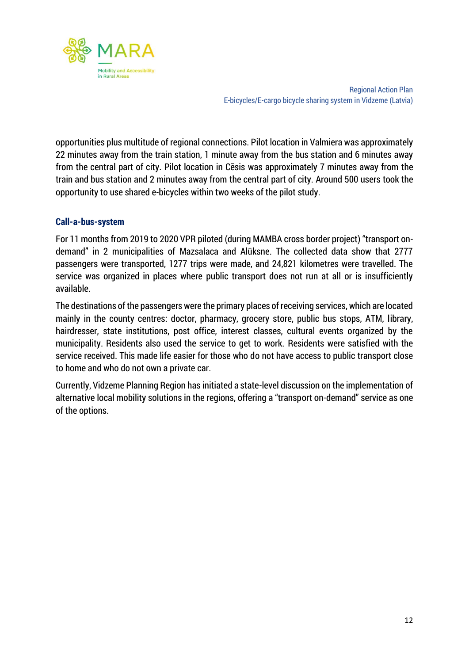

opportunities plus multitude of regional connections. Pilot location in Valmiera was approximately 22 minutes away from the train station, 1 minute away from the bus station and 6 minutes away from the central part of city. Pilot location in Cēsis was approximately 7 minutes away from the train and bus station and 2 minutes away from the central part of city. Around 500 users took the opportunity to use shared e-bicycles within two weeks of the pilot study.

#### **Call-a-bus-system**

For 11 months from 2019 to 2020 VPR piloted (during MAMBA cross border project) "transport ondemand" in 2 municipalities of Mazsalaca and Alūksne. The collected data show that 2777 passengers were transported, 1277 trips were made, and 24,821 kilometres were travelled. The service was organized in places where public transport does not run at all or is insufficiently available.

The destinations of the passengers were the primary places of receiving services, which are located mainly in the county centres: doctor, pharmacy, grocery store, public bus stops, ATM, library, hairdresser, state institutions, post office, interest classes, cultural events organized by the municipality. Residents also used the service to get to work. Residents were satisfied with the service received. This made life easier for those who do not have access to public transport close to home and who do not own a private car.

Currently, Vidzeme Planning Region has initiated a state-level discussion on the implementation of alternative local mobility solutions in the regions, offering a "transport on-demand" service as one of the options.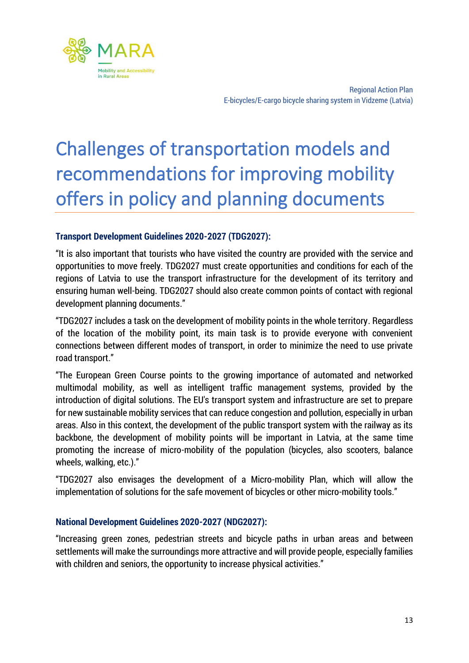

# <span id="page-13-0"></span>Challenges of transportation models and recommendations for improving mobility offers in policy and planning documents

#### **Transport Development Guidelines 2020-2027 (TDG2027):**

"It is also important that tourists who have visited the country are provided with the service and opportunities to move freely. TDG2027 must create opportunities and conditions for each of the regions of Latvia to use the transport infrastructure for the development of its territory and ensuring human well-being. TDG2027 should also create common points of contact with regional development planning documents."

"TDG2027 includes a task on the development of mobility points in the whole territory. Regardless of the location of the mobility point, its main task is to provide everyone with convenient connections between different modes of transport, in order to minimize the need to use private road transport."

"The European Green Course points to the growing importance of automated and networked multimodal mobility, as well as intelligent traffic management systems, provided by the introduction of digital solutions. The EU's transport system and infrastructure are set to prepare for new sustainable mobility services that can reduce congestion and pollution, especially in urban areas. Also in this context, the development of the public transport system with the railway as its backbone, the development of mobility points will be important in Latvia, at the same time promoting the increase of micro-mobility of the population (bicycles, also scooters, balance wheels, walking, etc.)."

"TDG2027 also envisages the development of a Micro-mobility Plan, which will allow the implementation of solutions for the safe movement of bicycles or other micro-mobility tools."

#### **National Development Guidelines 2020-2027 (NDG2027):**

"Increasing green zones, pedestrian streets and bicycle paths in urban areas and between settlements will make the surroundings more attractive and will provide people, especially families with children and seniors, the opportunity to increase physical activities."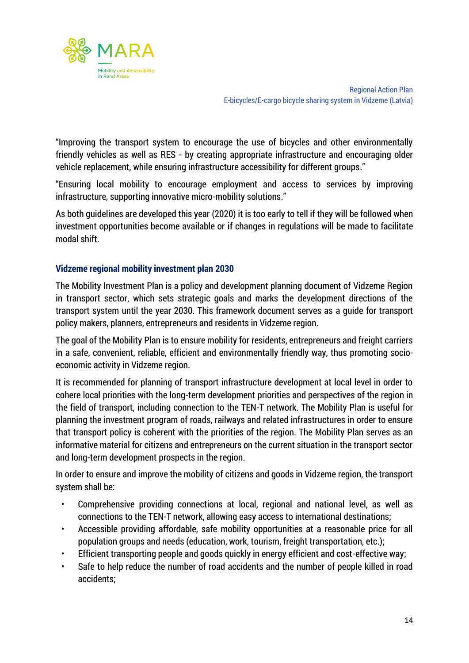

"Improving the transport system to encourage the use of bicycles and other environmentally friendly vehicles as well as RES - by creating appropriate infrastructure and encouraging older vehicle replacement, while ensuring infrastructure accessibility for different groups."

"Ensuring local mobility to encourage employment and access to services by improving infrastructure, supporting innovative micro-mobility solutions."

As both guidelines are developed this year (2020) it is too early to tell if they will be followed when investment opportunities become available or if changes in regulations will be made to facilitate modal shift.

#### **Vidzeme regional mobility investment plan 2030**

The Mobility Investment Plan is a policy and development planning document of Vidzeme Region in transport sector, which sets strategic goals and marks the development directions of the transport system until the year 2030. This framework document serves as a guide for transport policy makers, planners, entrepreneurs and residents in Vidzeme region.

The goal of the Mobility Plan is to ensure mobility for residents, entrepreneurs and freight carriers in a safe, convenient, reliable, efficient and environmentally friendly way, thus promoting socioeconomic activity in Vidzeme region.

It is recommended for planning of transport infrastructure development at local level in order to cohere local priorities with the long-term development priorities and perspectives of the region in the field of transport, including connection to the TEN-T network. The Mobility Plan is useful for planning the investment program of roads, railways and related infrastructures in order to ensure that transport policy is coherent with the priorities of the region. The Mobility Plan serves as an informative material for citizens and entrepreneurs on the current situation in the transport sector and long-term development prospects in the region.

In order to ensure and improve the mobility of citizens and goods in Vidzeme region, the transport system shall be:

- Comprehensive providing connections at local, regional and national level, as well as connections to the TEN-T network, allowing easy access to international destinations;
- Accessible providing affordable, safe mobility opportunities at a reasonable price for all population groups and needs (education, work, tourism, freight transportation, etc.);
- Efficient transporting people and goods quickly in energy efficient and cost-effective way;
- Safe to help reduce the number of road accidents and the number of people killed in road accidents;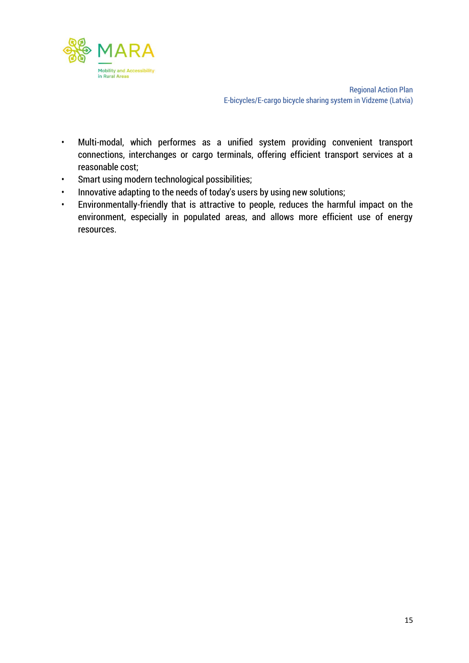

- Multi-modal, which performes as a unified system providing convenient transport connections, interchanges or cargo terminals, offering efficient transport services at a reasonable cost;
- Smart using modern technological possibilities;
- Innovative adapting to the needs of today's users by using new solutions;
- Environmentally-friendly that is attractive to people, reduces the harmful impact on the environment, especially in populated areas, and allows more efficient use of energy resources.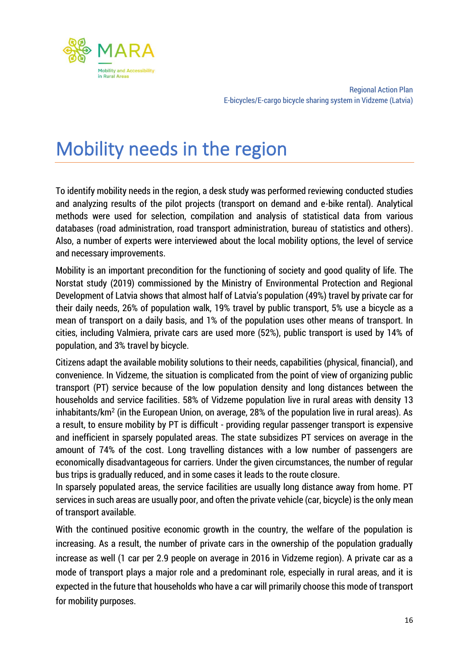

### <span id="page-16-0"></span>Mobility needs in the region

To identify mobility needs in the region, a desk study was performed reviewing conducted studies and analyzing results of the pilot projects (transport on demand and e-bike rental). Analytical methods were used for selection, compilation and analysis of statistical data from various databases (road administration, road transport administration, bureau of statistics and others). Also, a number of experts were interviewed about the local mobility options, the level of service and necessary improvements.

Mobility is an important precondition for the functioning of society and good quality of life. The Norstat study (2019) commissioned by the Ministry of Environmental Protection and Regional Development of Latvia shows that almost half of Latvia's population (49%) travel by private car for their daily needs, 26% of population walk, 19% travel by public transport, 5% use a bicycle as a mean of transport on a daily basis, and 1% of the population uses other means of transport. In cities, including Valmiera, private cars are used more (52%), public transport is used by 14% of population, and 3% travel by bicycle.

Citizens adapt the available mobility solutions to their needs, capabilities (physical, financial), and convenience. In Vidzeme, the situation is complicated from the point of view of organizing public transport (PT) service because of the low population density and long distances between the households and service facilities. 58% of Vidzeme population live in rural areas with density 13 inhabitants/km<sup>2</sup> (in the European Union, on average, 28% of the population live in rural areas). As a result, to ensure mobility by PT is difficult - providing regular passenger transport is expensive and inefficient in sparsely populated areas. The state subsidizes PT services on average in the amount of 74% of the cost. Long travelling distances with a low number of passengers are economically disadvantageous for carriers. Under the given circumstances, the number of regular bus trips is gradually reduced, and in some cases it leads to the route closure.

In sparsely populated areas, the service facilities are usually long distance away from home. PT services in such areas are usually poor, and often the private vehicle (car, bicycle) is the only mean of transport available.

With the continued positive economic growth in the country, the welfare of the population is increasing. As a result, the number of private cars in the ownership of the population gradually increase as well (1 car per 2.9 people on average in 2016 in Vidzeme region). A private car as a mode of transport plays a major role and a predominant role, especially in rural areas, and it is expected in the future that households who have a car will primarily choose this mode of transport for mobility purposes.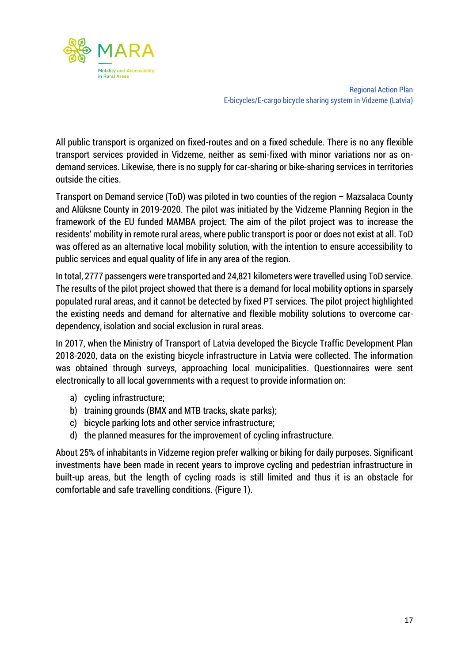

All public transport is organized on fixed-routes and on a fixed schedule. There is no any flexible transport services provided in Vidzeme, neither as semi-fixed with minor variations nor as ondemand services. Likewise, there is no supply for car-sharing or bike-sharing services in territories outside the cities.

Transport on Demand service (ToD) was piloted in two counties of the region – Mazsalaca County and Alūksne County in 2019-2020. The pilot was initiated by the Vidzeme Planning Region in the framework of the EU funded MAMBA project. The aim of the pilot project was to increase the residents' mobility in remote rural areas, where public transport is poor or does not exist at all. ToD was offered as an alternative local mobility solution, with the intention to ensure accessibility to public services and equal quality of life in any area of the region.

In total, 2777 passengers were transported and 24,821 kilometers were travelled using ToD service. The results of the pilot project showed that there is a demand for local mobility options in sparsely populated rural areas, and it cannot be detected by fixed PT services. The pilot project highlighted the existing needs and demand for alternative and flexible mobility solutions to overcome cardependency, isolation and social exclusion in rural areas.

In 2017, when the Ministry of Transport of Latvia developed the Bicycle Traffic Development Plan 2018-2020, data on the existing bicycle infrastructure in Latvia were collected. The information was obtained through surveys, approaching local municipalities. Questionnaires were sent electronically to all local governments with a request to provide information on:

- a) cycling infrastructure;
- b) training grounds (BMX and MTB tracks, skate parks);
- c) bicycle parking lots and other service infrastructure;
- d) the planned measures for the improvement of cycling infrastructure.

About 25% of inhabitants in Vidzeme region prefer walking or biking for daily purposes. Significant investments have been made in recent years to improve cycling and pedestrian infrastructure in built-up areas, but the length of cycling roads is still limited and thus it is an obstacle for comfortable and safe travelling conditions. (Figure 1).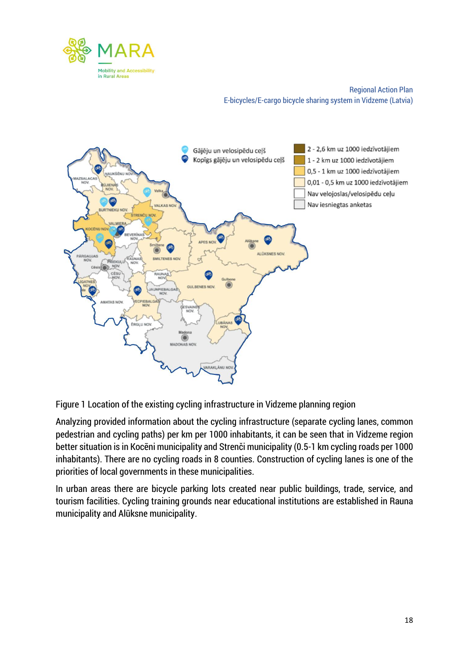



Figure 1 Location of the existing cycling infrastructure in Vidzeme planning region

Analyzing provided information about the cycling infrastructure (separate cycling lanes, common pedestrian and cycling paths) per km per 1000 inhabitants, it can be seen that in Vidzeme region better situation is in Kocēni municipality and Strenči municipality (0.5-1 km cycling roads per 1000 inhabitants). There are no cycling roads in 8 counties. Construction of cycling lanes is one of the priorities of local governments in these municipalities.

In urban areas there are bicycle parking lots created near public buildings, trade, service, and tourism facilities. Cycling training grounds near educational institutions are established in Rauna municipality and Alūksne municipality.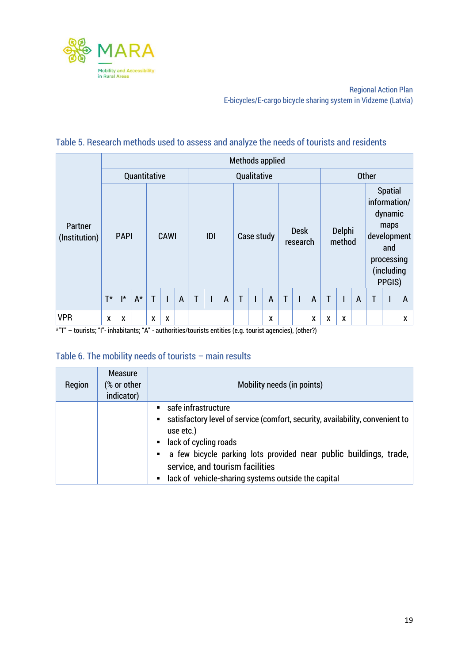

#### Table 5. Research methods used to assess and analyze the needs of tourists and residents

|                                                                                                                                 |       |                      |              |                         |      |                |             |     |   |              |            | Methods applied |   |                         |   |   |                  |   |   |                                                                                                               |   |
|---------------------------------------------------------------------------------------------------------------------------------|-------|----------------------|--------------|-------------------------|------|----------------|-------------|-----|---|--------------|------------|-----------------|---|-------------------------|---|---|------------------|---|---|---------------------------------------------------------------------------------------------------------------|---|
|                                                                                                                                 |       |                      | Quantitative |                         |      |                | Qualitative |     |   |              |            |                 |   | <b>Other</b>            |   |   |                  |   |   |                                                                                                               |   |
| Partner<br>(Institution)                                                                                                        |       | <b>PAPI</b>          |              |                         | CAWI |                |             | IDI |   |              | Case study |                 |   | <b>Desk</b><br>research |   |   | Delphi<br>method |   |   | <b>Spatial</b><br>information/<br>dynamic<br>maps<br>development<br>and<br>processing<br>(including<br>PPGIS) |   |
|                                                                                                                                 | $T^*$ | $\mathsf{I}^{\star}$ | $A^*$        | $\overline{\mathbf{T}}$ |      | $\overline{A}$ | T           |     | A | $\mathsf{T}$ |            | $\overline{A}$  | T |                         | A | T |                  | A | T |                                                                                                               | A |
| <b>VPR</b><br>$*^{n}T''$ – touriete: "I", inhabitante: " $N''$ , authorities (touriete optities (e.g. touriet agencies) (ether) | X     | X                    |              | X                       | χ    |                |             |     |   |              |            | X               |   |                         | Χ | X | X                |   |   |                                                                                                               | x |

\*"T" – tourists; "I"- inhabitants; "A" - authorities/tourists entities (e.g. tourist agencies), (other?)

#### Table 6. The mobility needs of tourists – main results

| Region | <b>Measure</b><br>(% or other<br>indicator) | Mobility needs (in points)                                                                                                                                                       |
|--------|---------------------------------------------|----------------------------------------------------------------------------------------------------------------------------------------------------------------------------------|
|        |                                             | safe infrastructure<br>$\blacksquare$<br>satisfactory level of service (comfort, security, availability, convenient to<br>$\blacksquare$<br>use etc.)<br>• lack of cycling roads |
|        |                                             | a few bicycle parking lots provided near public buildings, trade,<br>$\blacksquare$<br>service, and tourism facilities<br>• lack of vehicle-sharing systems outside the capital  |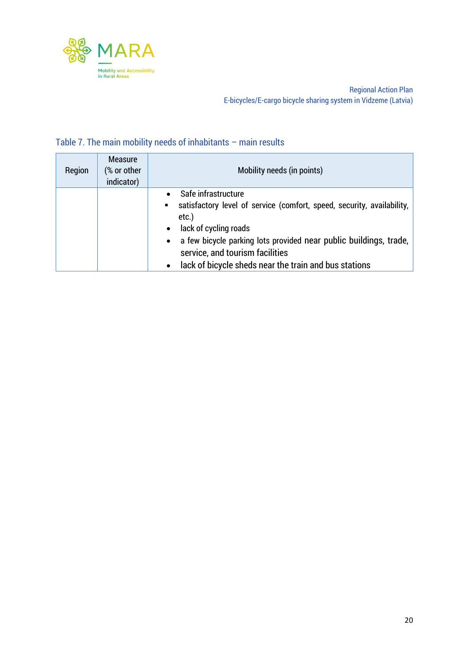

### Table 7. The main mobility needs of inhabitants – main results

| Region | <b>Measure</b><br>(% or other<br>indicator) | Mobility needs (in points)                                                                                                                                                                                                                     |
|--------|---------------------------------------------|------------------------------------------------------------------------------------------------------------------------------------------------------------------------------------------------------------------------------------------------|
|        |                                             | Safe infrastructure<br>$\bullet$<br>satisfactory level of service (comfort, speed, security, availability,<br>$etc.$ )<br>lack of cycling roads<br>$\bullet$<br>a few bicycle parking lots provided near public buildings, trade,<br>$\bullet$ |
|        |                                             | service, and tourism facilities<br>lack of bicycle sheds near the train and bus stations<br>$\bullet$                                                                                                                                          |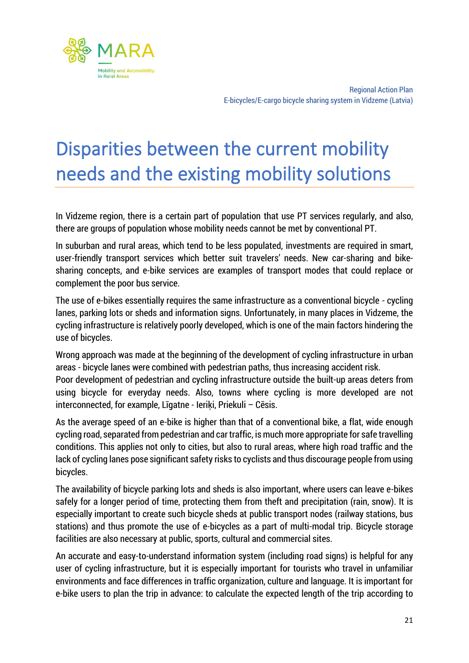

### <span id="page-21-0"></span>Disparities between the current mobility needs and the existing mobility solutions

In Vidzeme region, there is a certain part of population that use PT services regularly, and also, there are groups of population whose mobility needs cannot be met by conventional PT.

In suburban and rural areas, which tend to be less populated, investments are required in smart, user-friendly transport services which better suit travelers' needs. New car-sharing and bikesharing concepts, and e-bike services are examples of transport modes that could replace or complement the poor bus service.

The use of e-bikes essentially requires the same infrastructure as a conventional bicycle - cycling lanes, parking lots or sheds and information signs. Unfortunately, in many places in Vidzeme, the cycling infrastructure is relatively poorly developed, which is one of the main factors hindering the use of bicycles.

Wrong approach was made at the beginning of the development of cycling infrastructure in urban areas - bicycle lanes were combined with pedestrian paths, thus increasing accident risk.

Poor development of pedestrian and cycling infrastructure outside the built-up areas deters from using bicycle for everyday needs. Also, towns where cycling is more developed are not interconnected, for example, Līgatne - Ieriķi, Priekuli – Cēsis.

As the average speed of an e-bike is higher than that of a conventional bike, a flat, wide enough cycling road, separated from pedestrian and car traffic, is much more appropriate for safe travelling conditions. This applies not only to cities, but also to rural areas, where high road traffic and the lack of cycling lanes pose significant safety risks to cyclists and thus discourage people from using bicycles.

The availability of bicycle parking lots and sheds is also important, where users can leave e-bikes safely for a longer period of time, protecting them from theft and precipitation (rain, snow). It is especially important to create such bicycle sheds at public transport nodes (railway stations, bus stations) and thus promote the use of e-bicycles as a part of multi-modal trip. Bicycle storage facilities are also necessary at public, sports, cultural and commercial sites.

An accurate and easy-to-understand information system (including road signs) is helpful for any user of cycling infrastructure, but it is especially important for tourists who travel in unfamiliar environments and face differences in traffic organization, culture and language. It is important for e-bike users to plan the trip in advance: to calculate the expected length of the trip according to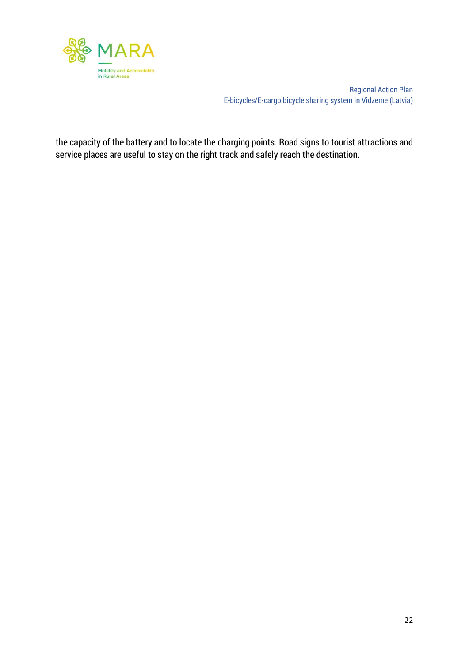

the capacity of the battery and to locate the charging points. Road signs to tourist attractions and service places are useful to stay on the right track and safely reach the destination.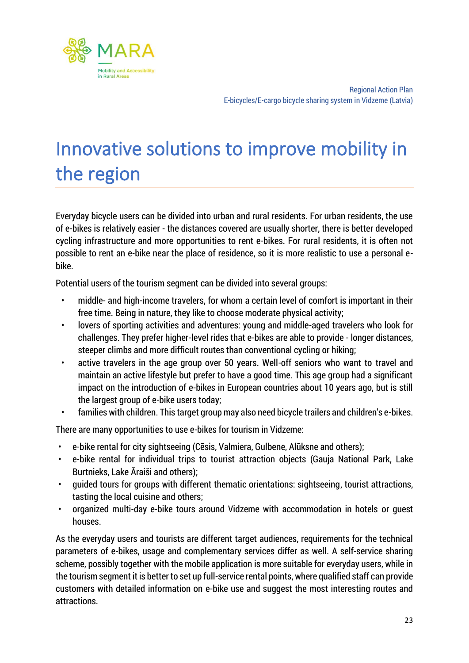

## <span id="page-23-0"></span>Innovative solutions to improve mobility in the region

Everyday bicycle users can be divided into urban and rural residents. For urban residents, the use of e-bikes is relatively easier - the distances covered are usually shorter, there is better developed cycling infrastructure and more opportunities to rent e-bikes. For rural residents, it is often not possible to rent an e-bike near the place of residence, so it is more realistic to use a personal ebike.

Potential users of the tourism segment can be divided into several groups:

- middle- and high-income travelers, for whom a certain level of comfort is important in their free time. Being in nature, they like to choose moderate physical activity;
- lovers of sporting activities and adventures: young and middle-aged travelers who look for challenges. They prefer higher-level rides that e-bikes are able to provide - longer distances, steeper climbs and more difficult routes than conventional cycling or hiking;
- active travelers in the age group over 50 years. Well-off seniors who want to travel and maintain an active lifestyle but prefer to have a good time. This age group had a significant impact on the introduction of e-bikes in European countries about 10 years ago, but is still the largest group of e-bike users today;
- families with children. This target group may also need bicycle trailers and children's e-bikes.

There are many opportunities to use e-bikes for tourism in Vidzeme:

- e-bike rental for city sightseeing (Cēsis, Valmiera, Gulbene, Alūksne and others);
- e-bike rental for individual trips to tourist attraction objects (Gauja National Park, Lake Burtnieks, Lake Āraiši and others);
- guided tours for groups with different thematic orientations: sightseeing, tourist attractions, tasting the local cuisine and others;
- organized multi-day e-bike tours around Vidzeme with accommodation in hotels or guest houses.

As the everyday users and tourists are different target audiences, requirements for the technical parameters of e-bikes, usage and complementary services differ as well. A self-service sharing scheme, possibly together with the mobile application is more suitable for everyday users, while in the tourism segment it is better to set up full-service rental points, where qualified staff can provide customers with detailed information on e-bike use and suggest the most interesting routes and attractions.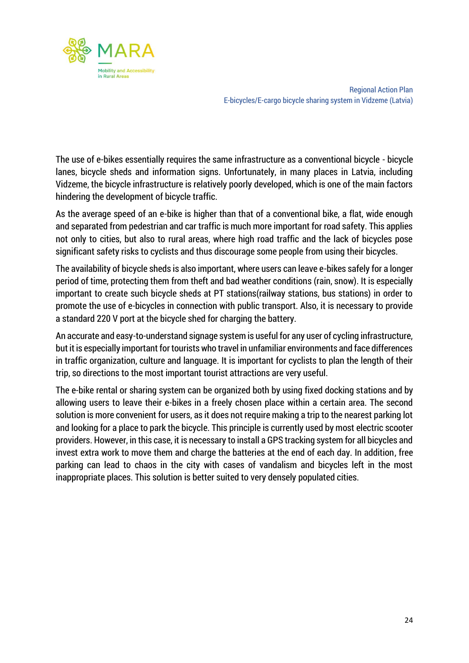

The use of e-bikes essentially requires the same infrastructure as a conventional bicycle - bicycle lanes, bicycle sheds and information signs. Unfortunately, in many places in Latvia, including Vidzeme, the bicycle infrastructure is relatively poorly developed, which is one of the main factors hindering the development of bicycle traffic.

As the average speed of an e-bike is higher than that of a conventional bike, a flat, wide enough and separated from pedestrian and car traffic is much more important for road safety. This applies not only to cities, but also to rural areas, where high road traffic and the lack of bicycles pose significant safety risks to cyclists and thus discourage some people from using their bicycles.

The availability of bicycle sheds is also important, where users can leave e-bikes safely for a longer period of time, protecting them from theft and bad weather conditions (rain, snow). It is especially important to create such bicycle sheds at PT stations(railway stations, bus stations) in order to promote the use of e-bicycles in connection with public transport. Also, it is necessary to provide a standard 220 V port at the bicycle shed for charging the battery.

An accurate and easy-to-understand signage system is useful for any user of cycling infrastructure, but it is especially important for tourists who travel in unfamiliar environments and face differences in traffic organization, culture and language. It is important for cyclists to plan the length of their trip, so directions to the most important tourist attractions are very useful.

The e-bike rental or sharing system can be organized both by using fixed docking stations and by allowing users to leave their e-bikes in a freely chosen place within a certain area. The second solution is more convenient for users, as it does not require making a trip to the nearest parking lot and looking for a place to park the bicycle. This principle is currently used by most electric scooter providers. However, in this case, it is necessary to install a GPS tracking system for all bicycles and invest extra work to move them and charge the batteries at the end of each day. In addition, free parking can lead to chaos in the city with cases of vandalism and bicycles left in the most inappropriate places. This solution is better suited to very densely populated cities.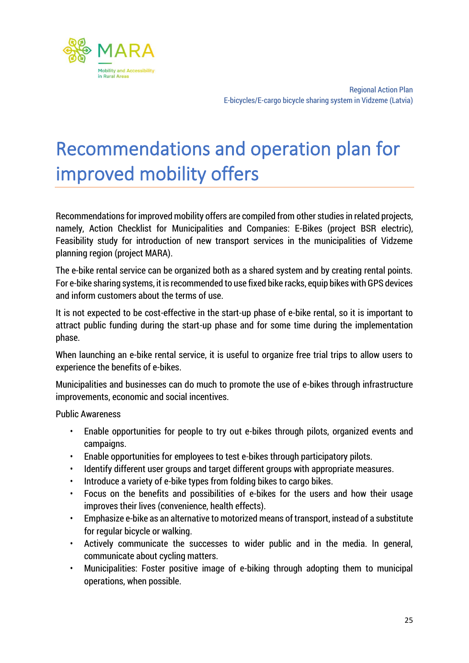

## <span id="page-25-0"></span>Recommendations and operation plan for improved mobility offers

Recommendations for improved mobility offers are compiled from other studies in related projects, namely, Action Checklist for Municipalities and Companies: E-Bikes (project BSR electric), Feasibility study for introduction of new transport services in the municipalities of Vidzeme planning region (project MARA).

The e-bike rental service can be organized both as a shared system and by creating rental points. For e-bike sharing systems, it is recommended to use fixed bike racks, equip bikes with GPS devices and inform customers about the terms of use.

It is not expected to be cost-effective in the start-up phase of e-bike rental, so it is important to attract public funding during the start-up phase and for some time during the implementation phase.

When launching an e-bike rental service, it is useful to organize free trial trips to allow users to experience the benefits of e-bikes.

Municipalities and businesses can do much to promote the use of e-bikes through infrastructure improvements, economic and social incentives.

Public Awareness

- Enable opportunities for people to try out e-bikes through pilots, organized events and campaigns.
- Enable opportunities for employees to test e-bikes through participatory pilots.
- Identify different user groups and target different groups with appropriate measures.
- Introduce a variety of e-bike types from folding bikes to cargo bikes.
- Focus on the benefits and possibilities of e-bikes for the users and how their usage improves their lives (convenience, health effects).
- Emphasize e-bike as an alternative to motorized means of transport, instead of a substitute for regular bicycle or walking.
- Actively communicate the successes to wider public and in the media. In general, communicate about cycling matters.
- Municipalities: Foster positive image of e-biking through adopting them to municipal operations, when possible.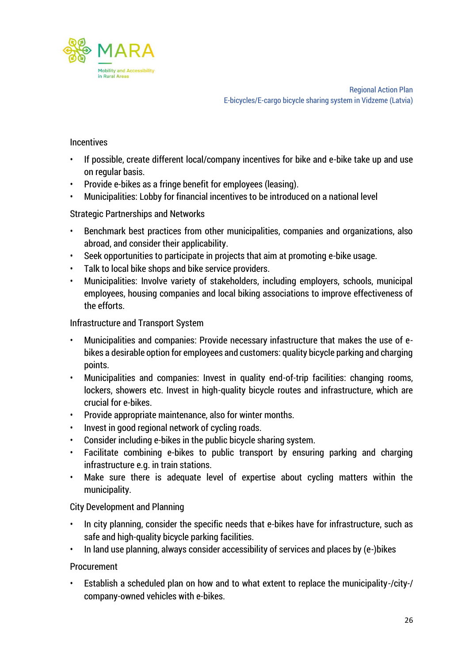

#### **Incentives**

- If possible, create different local/company incentives for bike and e-bike take up and use on regular basis.
- Provide e-bikes as a fringe benefit for employees (leasing).
- Municipalities: Lobby for financial incentives to be introduced on a national level

#### Strategic Partnerships and Networks

- Benchmark best practices from other municipalities, companies and organizations, also abroad, and consider their applicability.
- Seek opportunities to participate in projects that aim at promoting e-bike usage.
- Talk to local bike shops and bike service providers.
- Municipalities: Involve variety of stakeholders, including employers, schools, municipal employees, housing companies and local biking associations to improve effectiveness of the efforts.

#### Infrastructure and Transport System

- Municipalities and companies: Provide necessary infastructure that makes the use of ebikes a desirable option for employees and customers: quality bicycle parking and charging points.
- Municipalities and companies: Invest in quality end-of-trip facilities: changing rooms, lockers, showers etc. Invest in high-quality bicycle routes and infrastructure, which are crucial for e-bikes.
- Provide appropriate maintenance, also for winter months.
- Invest in good regional network of cycling roads.
- Consider including e-bikes in the public bicycle sharing system.
- Facilitate combining e-bikes to public transport by ensuring parking and charging infrastructure e.g. in train stations.
- Make sure there is adequate level of expertise about cycling matters within the municipality.

#### City Development and Planning

- In city planning, consider the specific needs that e-bikes have for infrastructure, such as safe and high-quality bicycle parking facilities.
- In land use planning, always consider accessibility of services and places by (e-)bikes

#### Procurement

• Establish a scheduled plan on how and to what extent to replace the municipality-/city-/ company-owned vehicles with e-bikes.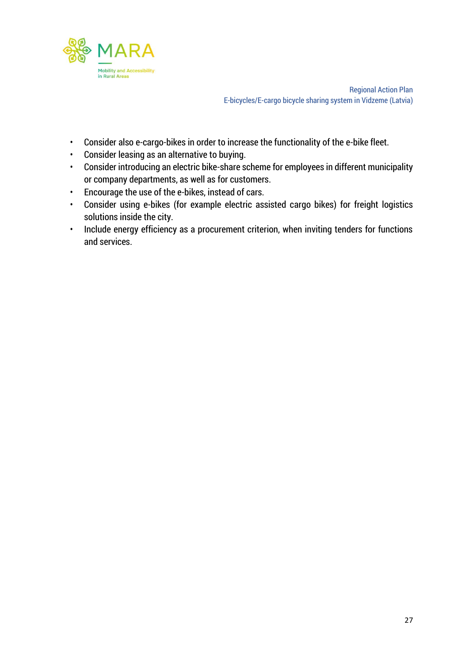

- Consider also e-cargo-bikes in order to increase the functionality of the e-bike fleet.
- Consider leasing as an alternative to buying.
- Consider introducing an electric bike-share scheme for employees in different municipality or company departments, as well as for customers.
- Encourage the use of the e-bikes, instead of cars.
- Consider using e-bikes (for example electric assisted cargo bikes) for freight logistics solutions inside the city.
- Include energy efficiency as a procurement criterion, when inviting tenders for functions and services.